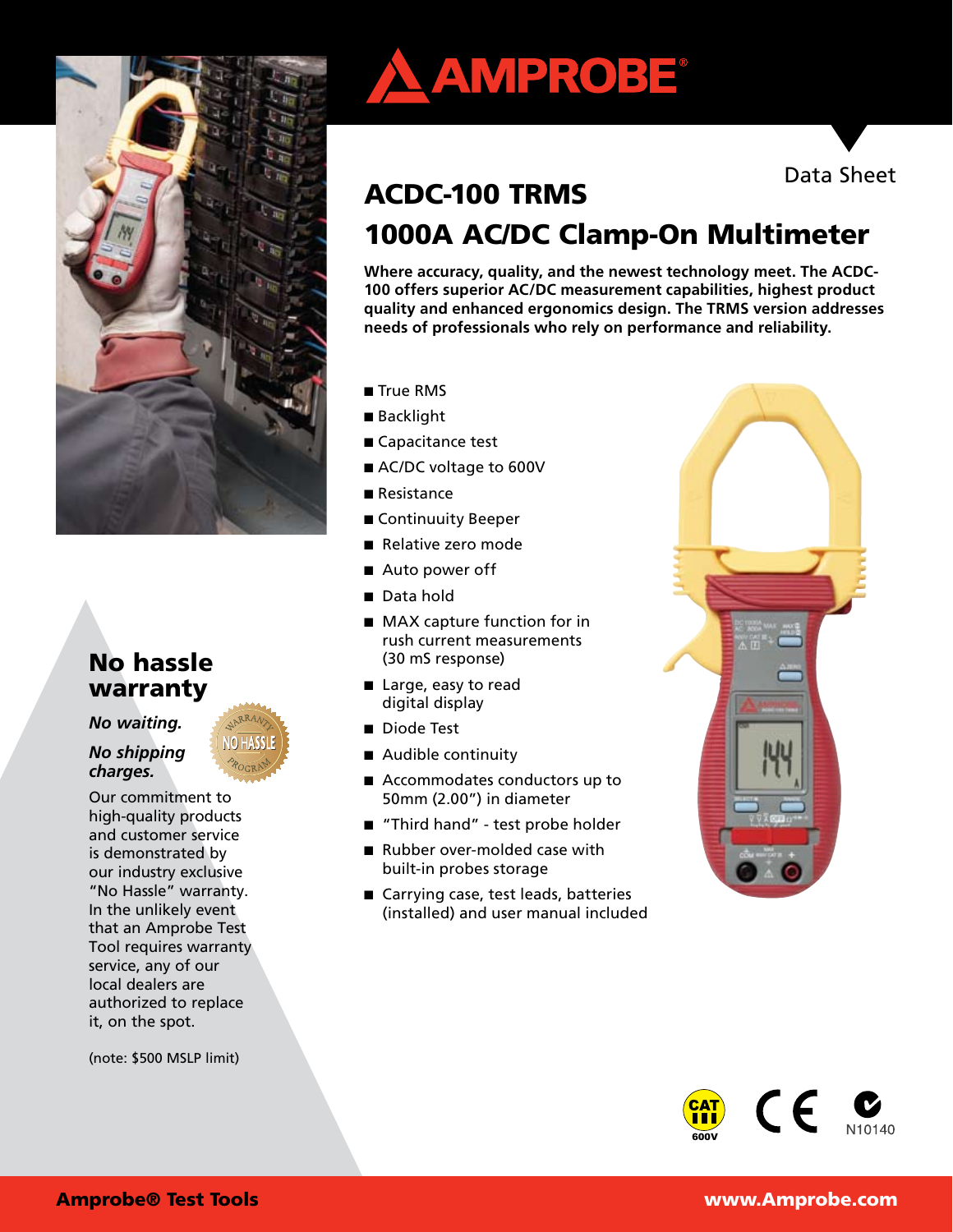

# No hassle warranty

*No waiting.* 

### *No shipping charges.*

Our commitment to high-quality products and customer service is demonstrated by our industry exclusive "No Hassle" warranty. In the unlikely event that an Amprobe Test Tool requires warranty service, any of our local dealers are authorized to replace it, on the spot.

(note: \$500 MSLP limit)





# ACDC-100 TRMS 1000A AC/DC Clamp-On Multimeter

**Where accuracy, quality, and the newest technology meet. The ACDC-100 offers superior AC/DC measurement capabilities, highest product quality and enhanced ergonomics design. The TRMS version addresses needs of professionals who rely on performance and reliability.**

- True RMS
- Backlight
- Capacitance test
- AC/DC voltage to 600V
- Resistance
- Continuuity Beeper
- Relative zero mode
- Auto power off
- Data hold
- MAX capture function for in rush current measurements (30 mS response)
- Large, easy to read digital display
- Diode Test
- Audible continuity
- Accommodates conductors up to 50mm (2.00") in diameter
- "Third hand" test probe holder
- Rubber over-molded case with built-in probes storage
- Carrying case, test leads, batteries (installed) and user manual included



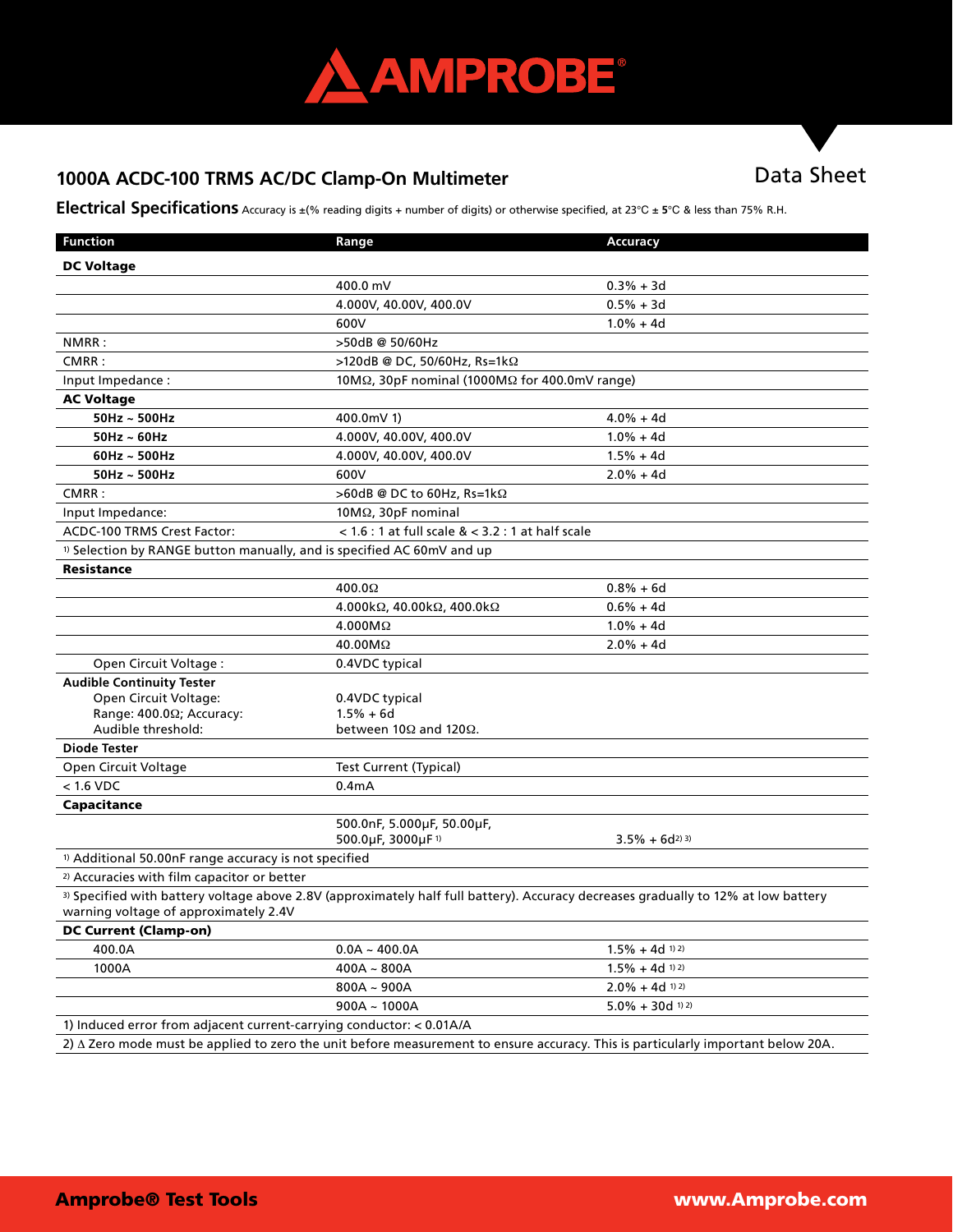

# 1000A ACDC-100 TRMS AC/DC Clamp-On Multimeter **Data Sheet**

**Electrical Specifications** Accuracy is ±(% reading digits + number of digits) or otherwise specified, at 23℃ ± **5**℃ & less than 75% R.H.

| <b>Function</b>                                                                   | Range                                                          | Accuracy                                                                                                                           |
|-----------------------------------------------------------------------------------|----------------------------------------------------------------|------------------------------------------------------------------------------------------------------------------------------------|
| <b>DC Voltage</b>                                                                 |                                                                |                                                                                                                                    |
|                                                                                   | 400.0 mV                                                       | $0.3% + 3d$                                                                                                                        |
|                                                                                   | 4.000V, 40.00V, 400.0V                                         | $0.5% + 3d$                                                                                                                        |
|                                                                                   | 600V                                                           | $1.0% + 4d$                                                                                                                        |
| NMRR:                                                                             | >50dB @ 50/60Hz                                                |                                                                                                                                    |
| CMRR:                                                                             | >120dB @ DC, 50/60Hz, Rs=1kΩ                                   |                                                                                                                                    |
| Input Impedance:                                                                  | 10M $\Omega$ , 30pF nominal (1000M $\Omega$ for 400.0mV range) |                                                                                                                                    |
| <b>AC Voltage</b>                                                                 |                                                                |                                                                                                                                    |
| $50$ Hz ~ $500$ Hz                                                                | 400.0mV 1)                                                     | $4.0% + 4d$                                                                                                                        |
| $50$ Hz ~ 60Hz                                                                    | 4.000V, 40.00V, 400.0V                                         | $1.0% + 4d$                                                                                                                        |
| $60Hz \sim 500Hz$                                                                 | 4.000V, 40.00V, 400.0V                                         | $1.5% + 4d$                                                                                                                        |
| $50$ Hz ~ $500$ Hz                                                                | 600V                                                           | $2.0% + 4d$                                                                                                                        |
| CMRR:                                                                             | >60dB @ DC to 60Hz, Rs=1kΩ                                     |                                                                                                                                    |
| Input Impedance:                                                                  | $10M\Omega$ , $30pF$ nominal                                   |                                                                                                                                    |
| ACDC-100 TRMS Crest Factor:                                                       | < $1.6:1$ at full scale $<3.2:1$ at half scale                 |                                                                                                                                    |
| <sup>1)</sup> Selection by RANGE button manually, and is specified AC 60mV and up |                                                                |                                                                                                                                    |
| <b>Resistance</b>                                                                 |                                                                |                                                                                                                                    |
|                                                                                   | 400.0 $\Omega$                                                 | $0.8% + 6d$                                                                                                                        |
|                                                                                   | 4.000kΩ, 40.00kΩ, 400.0kΩ                                      | $0.6% + 4d$                                                                                                                        |
|                                                                                   | $4.000M\Omega$                                                 | $1.0% + 4d$                                                                                                                        |
|                                                                                   | $40.00M\Omega$                                                 | $2.0% + 4d$                                                                                                                        |
| Open Circuit Voltage:                                                             | 0.4VDC typical                                                 |                                                                                                                                    |
| <b>Audible Continuity Tester</b>                                                  |                                                                |                                                                                                                                    |
| Open Circuit Voltage:                                                             | 0.4VDC typical                                                 |                                                                                                                                    |
| Range: 400.02; Accuracy:                                                          | $1.5% + 6d$                                                    |                                                                                                                                    |
| Audible threshold:                                                                | between 10 $\Omega$ and 120 $\Omega$ .                         |                                                                                                                                    |
| <b>Diode Tester</b>                                                               |                                                                |                                                                                                                                    |
| Open Circuit Voltage                                                              | <b>Test Current (Typical)</b>                                  |                                                                                                                                    |
| $< 1.6$ VDC                                                                       | 0.4 <sub>m</sub> A                                             |                                                                                                                                    |
| Capacitance                                                                       |                                                                |                                                                                                                                    |
|                                                                                   | 500.0nF, 5.000µF, 50.00µF,                                     |                                                                                                                                    |
|                                                                                   | 500.0µF, 3000µF <sup>1)</sup>                                  | $3.5\% + 6d^{2}$                                                                                                                   |
| <sup>1)</sup> Additional 50.00nF range accuracy is not specified                  |                                                                |                                                                                                                                    |
| <sup>2)</sup> Accuracies with film capacitor or better                            |                                                                |                                                                                                                                    |
| warning voltage of approximately 2.4V                                             |                                                                | 3) Specified with battery voltage above 2.8V (approximately half full battery). Accuracy decreases gradually to 12% at low battery |
| <b>DC Current (Clamp-on)</b>                                                      |                                                                |                                                                                                                                    |
| 400.0A                                                                            | $0.0A - 400.0A$                                                | $1.5\% + 4d$ <sup>1)</sup> <sup>2)</sup>                                                                                           |
| 1000A                                                                             | $400A - 800A$                                                  | $1.5\% + 4d$ 1) 2)                                                                                                                 |
|                                                                                   | $800A - 900A$                                                  | $2.0\% + 4d$ 1) 2)                                                                                                                 |
|                                                                                   | $900A - 1000A$                                                 | $5.0\% + 30d$ <sup>1) 2)</sup>                                                                                                     |
| 1) Induced error from adjacent current-carrying conductor: < 0.01A/A              |                                                                |                                                                                                                                    |
|                                                                                   |                                                                | 2) A Zero mode must be applied to zero the unit before measurement to ensure accuracy. This is particularly important below 20A.   |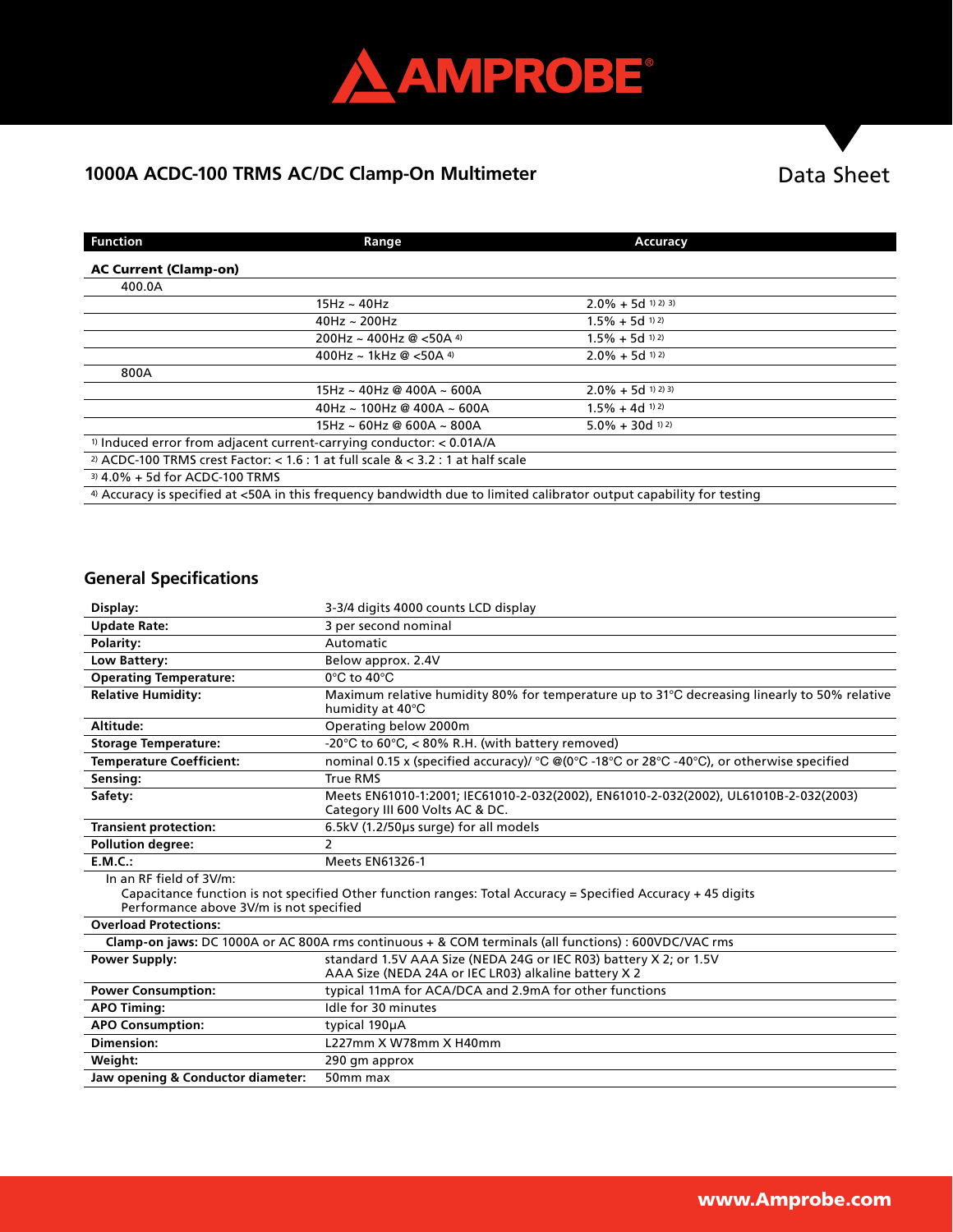

# 1000A ACDC-100 TRMS AC/DC Clamp-On Multimeter **Data Sheet**

| <b>Function</b>                                                                                                      | Range                                                                                         | Accuracy                       |
|----------------------------------------------------------------------------------------------------------------------|-----------------------------------------------------------------------------------------------|--------------------------------|
| <b>AC Current (Clamp-on)</b>                                                                                         |                                                                                               |                                |
| 400.0A                                                                                                               |                                                                                               |                                |
|                                                                                                                      | 15Hz ~ 40Hz                                                                                   | $2.0\% + 5d$ 1) 2) 3)          |
|                                                                                                                      | $40$ Hz ~ 200Hz                                                                               | $1.5\% + 5d$ 1) 2)             |
|                                                                                                                      | 200Hz ~ 400Hz @ <50A 4)                                                                       | $1.5\% + 5d$ 1) 2)             |
|                                                                                                                      | 400Hz ~ 1kHz @ <50A 4)                                                                        | $2.0\% + 5d$ 1) 2)             |
| 800A                                                                                                                 |                                                                                               |                                |
|                                                                                                                      | 15Hz ~ 40Hz @ 400A ~ 600A                                                                     | $2.0\% + 5d$ 1) 2) 3)          |
|                                                                                                                      | $40$ Hz ~ 100Hz @ 400A ~ 600A                                                                 | $1.5\% + 4d$ 1) 2)             |
|                                                                                                                      | 15Hz ~ 60Hz @ 600A ~ 800A                                                                     | $5.0\% + 30d$ <sup>1) 2)</sup> |
| <sup>1)</sup> Induced error from adjacent current-carrying conductor: $< 0.01A/A$                                    |                                                                                               |                                |
|                                                                                                                      | <sup>2)</sup> ACDC-100 TRMS crest Factor: < 1.6 : 1 at full scale $&$ < 3.2 : 1 at half scale |                                |
| $3)$ 4.0% + 5d for ACDC-100 TRMS                                                                                     |                                                                                               |                                |
| 4) Accuracy is specified at <50A in this frequency bandwidth due to limited calibrator output capability for testing |                                                                                               |                                |

# **General Specifications**

| Display:                                                                                                                                                                           | 3-3/4 digits 4000 counts LCD display                                                                                      |  |  |
|------------------------------------------------------------------------------------------------------------------------------------------------------------------------------------|---------------------------------------------------------------------------------------------------------------------------|--|--|
| <b>Update Rate:</b>                                                                                                                                                                | 3 per second nominal                                                                                                      |  |  |
| Polarity:                                                                                                                                                                          | Automatic                                                                                                                 |  |  |
| Low Battery:                                                                                                                                                                       | Below approx. 2.4V                                                                                                        |  |  |
| <b>Operating Temperature:</b>                                                                                                                                                      | $0^{\circ}$ C to $40^{\circ}$ C                                                                                           |  |  |
| <b>Relative Humidity:</b>                                                                                                                                                          | Maximum relative humidity 80% for temperature up to 31°C decreasing linearly to 50% relative<br>humidity at 40°C          |  |  |
| Altitude:                                                                                                                                                                          | Operating below 2000m                                                                                                     |  |  |
| <b>Storage Temperature:</b>                                                                                                                                                        | -20 $\degree$ C to 60 $\degree$ C, < 80% R.H. (with battery removed)                                                      |  |  |
| <b>Temperature Coefficient:</b>                                                                                                                                                    | nominal 0.15 x (specified accuracy)/ °C @(0°C -18°C or 28°C -40°C), or otherwise specified                                |  |  |
| Sensing:                                                                                                                                                                           | <b>True RMS</b>                                                                                                           |  |  |
| Safety:                                                                                                                                                                            | Meets EN61010-1:2001; IEC61010-2-032(2002), EN61010-2-032(2002), UL61010B-2-032(2003)<br>Category III 600 Volts AC & DC.  |  |  |
| <b>Transient protection:</b>                                                                                                                                                       | 6.5kV (1.2/50us surge) for all models                                                                                     |  |  |
| <b>Pollution degree:</b>                                                                                                                                                           | 2                                                                                                                         |  |  |
| E.M.C.:                                                                                                                                                                            | <b>Meets EN61326-1</b>                                                                                                    |  |  |
| In an RF field of 3V/m:<br>Capacitance function is not specified Other function ranges: Total Accuracy = Specified Accuracy + 45 digits<br>Performance above 3V/m is not specified |                                                                                                                           |  |  |
| <b>Overload Protections:</b>                                                                                                                                                       |                                                                                                                           |  |  |
| Clamp-on jaws: DC 1000A or AC 800A rms continuous + & COM terminals (all functions) : 600VDC/VAC rms                                                                               |                                                                                                                           |  |  |
| <b>Power Supply:</b>                                                                                                                                                               | standard 1.5V AAA Size (NEDA 24G or IEC R03) battery X 2; or 1.5V<br>AAA Size (NEDA 24A or IEC LR03) alkaline battery X 2 |  |  |
| <b>Power Consumption:</b>                                                                                                                                                          | typical 11mA for ACA/DCA and 2.9mA for other functions                                                                    |  |  |
| <b>APO Timing:</b>                                                                                                                                                                 | Idle for 30 minutes                                                                                                       |  |  |
| <b>APO Consumption:</b>                                                                                                                                                            | typical 190µA                                                                                                             |  |  |
| Dimension:                                                                                                                                                                         | L227mm X W78mm X H40mm                                                                                                    |  |  |
| Weight:                                                                                                                                                                            | 290 gm approx                                                                                                             |  |  |
| Jaw opening & Conductor diameter:                                                                                                                                                  | 50mm max                                                                                                                  |  |  |